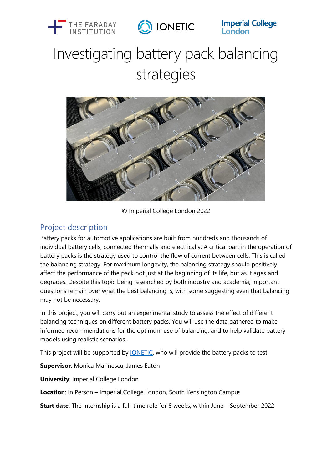



**Imperial College**<br>London

# Investigating battery pack balancing strategies



© Imperial College London 2022

#### Project description

Battery packs for automotive applications are built from hundreds and thousands of individual battery cells, connected thermally and electrically. A critical part in the operation of battery packs is the strategy used to control the flow of current between cells. This is called the balancing strategy. For maximum longevity, the balancing strategy should positively affect the performance of the pack not just at the beginning of its life, but as it ages and degrades. Despite this topic being researched by both industry and academia, important questions remain over what the best balancing is, with some suggesting even that balancing may not be necessary.

In this project, you will carry out an experimental study to assess the effect of different balancing techniques on different battery packs. You will use the data gathered to make informed recommendations for the optimum use of balancing, and to help validate battery models using realistic scenarios.

This project will be supported by *IONETIC*, who will provide the battery packs to test.

**Supervisor**: Monica Marinescu, James Eaton

**University**: Imperial College London

**Location**: In Person – Imperial College London, South Kensington Campus

**Start date**: The internship is a full-time role for 8 weeks; within June – September 2022